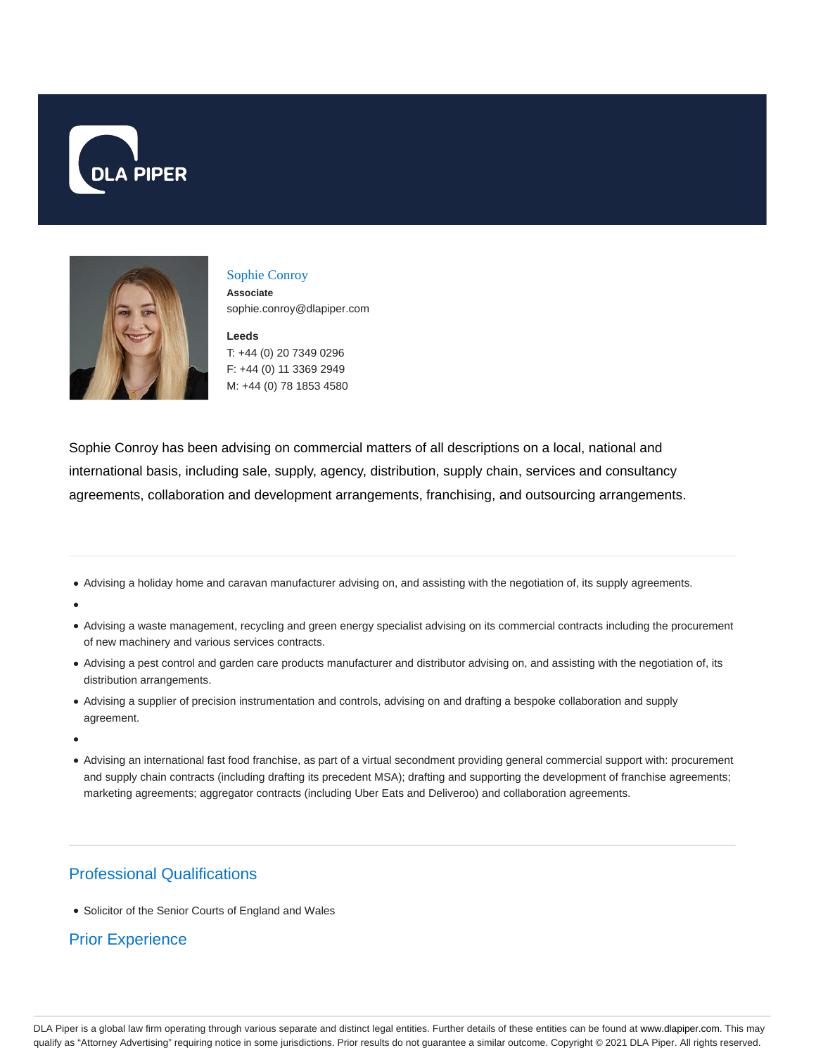



# Sophie Conroy

**Associate** sophie.conroy@dlapiper.com

**Leeds** T: +44 (0) 20 7349 0296 F: +44 (0) 11 3369 2949 M: +44 (0) 78 1853 4580

Sophie Conroy has been advising on commercial matters of all descriptions on a local, national and international basis, including sale, supply, agency, distribution, supply chain, services and consultancy agreements, collaboration and development arrangements, franchising, and outsourcing arrangements.

- Advising a holiday home and caravan manufacturer advising on, and assisting with the negotiation of, its supply agreements.
- 
- Advising a waste management, recycling and green energy specialist advising on its commercial contracts including the procurement of new machinery and various services contracts.
- Advising a pest control and garden care products manufacturer and distributor advising on, and assisting with the negotiation of, its distribution arrangements.
- Advising a supplier of precision instrumentation and controls, advising on and drafting a bespoke collaboration and supply agreement.
- 
- Advising an international fast food franchise, as part of a virtual secondment providing general commercial support with: procurement and supply chain contracts (including drafting its precedent MSA); drafting and supporting the development of franchise agreements; marketing agreements; aggregator contracts (including Uber Eats and Deliveroo) and collaboration agreements.

# Professional Qualifications

• Solicitor of the Senior Courts of England and Wales

# Prior Experience